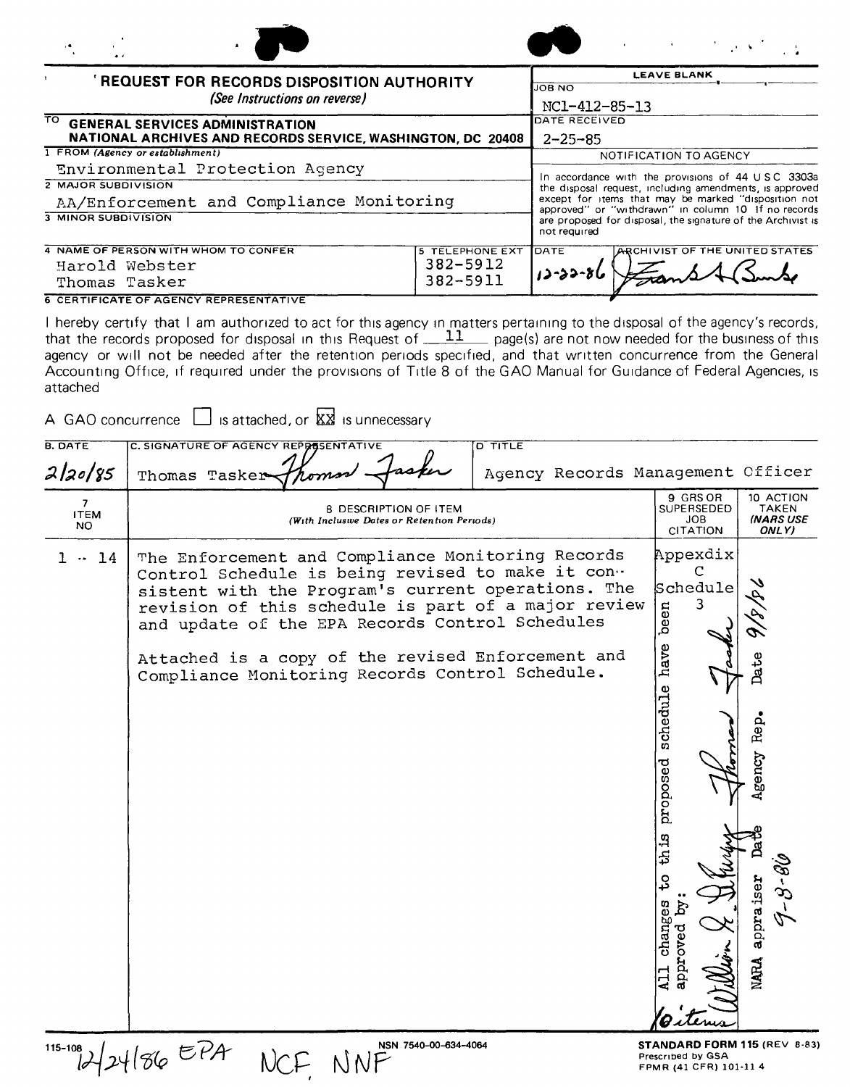|                                                             |                        | $\mathcal{L}^{\mathcal{L}}$ and $\mathcal{L}^{\mathcal{L}}$ are the set of the set of $\mathcal{L}^{\mathcal{L}}$                   |
|-------------------------------------------------------------|------------------------|-------------------------------------------------------------------------------------------------------------------------------------|
| <b>REQUEST FOR RECORDS DISPOSITION AUTHORITY</b>            |                        | <b>LEAVE BLANK</b>                                                                                                                  |
| (See Instructions on reverse)                               |                        | <b>JOB NO</b><br>NC1-412-85-13                                                                                                      |
| TO.<br><b>GENERAL SERVICES ADMINISTRATION</b>               |                        | DATE RECEIVED                                                                                                                       |
| NATIONAL ARCHIVES AND RECORDS SERVICE, WASHINGTON, DC 20408 |                        | $2 - 25 - 85$                                                                                                                       |
| 1 FROM (Agency or establishment)                            |                        | NOTIFICATION TO AGENCY                                                                                                              |
| Environmental Protection Agency                             |                        | In accordance with the provisions of 44 USC 3303a                                                                                   |
| <b>2 MAJOR SUBDIVISION</b>                                  |                        | the disposal request, including amendments, is approved                                                                             |
| AA/Enforcement and Compliance Monitoring                    |                        | except for items that may be marked "disposition not                                                                                |
| <b>3 MINOR SUBDIVISION</b>                                  |                        | approved" or "withdrawn" in column 10 If no records<br>are proposed for disposal, the signature of the Archivist is<br>not required |
| 4 NAME OF PERSON WITH WHOM TO CONFER                        | <b>5 TELEPHONE EXT</b> | ARCHIVIST OF THE UNITED STATES<br><b>DATE</b>                                                                                       |
| Harold Webster                                              | 382-5912               |                                                                                                                                     |
| Thomas Tasker                                               | 382-5911               |                                                                                                                                     |

**6 CERTIFICATE OF AGENCY REPRESENTATIVE** 

I hereby certify that I am authorized to act for this agency In matters pertaining to the disposal of the agency's records, that the records proposed for disposal in this Request of  $\_\perp\_\perp$  page(s) are not now needed for the business of this agency or will not be needed after the retention periods specified, and that written concurrence from the General Accounting Office, if required under the provisions of Title 8 of the GAO Manual for Guidance of Federal Agencies, is attached

| A GAO concurrence $\Box$ is attached, or $\overline{\mathbb{X}\mathbb{X}}$ is unnecessary |  |  |  |
|-------------------------------------------------------------------------------------------|--|--|--|

| <b>B. DATE</b>          | C. SIGNATURE OF AGENCY REPPESENTATIVE                                                                                                                                                                                                                                                                                                                                          | $\overline{\text{DTITE}}$         |                                                                                                                                      |                                                                           |
|-------------------------|--------------------------------------------------------------------------------------------------------------------------------------------------------------------------------------------------------------------------------------------------------------------------------------------------------------------------------------------------------------------------------|-----------------------------------|--------------------------------------------------------------------------------------------------------------------------------------|---------------------------------------------------------------------------|
| 2/20/85                 | Thomas Tasker                                                                                                                                                                                                                                                                                                                                                                  | Agency Records Management Cfficer |                                                                                                                                      |                                                                           |
| 7<br><b>ITEM</b><br>NO. | 8 DESCRIPTION OF ITEM<br>(With Incluswe Dates or Retention Periods)                                                                                                                                                                                                                                                                                                            |                                   | 9 GRS OR<br>SUPERSEDED<br>JOB<br><b>CITATION</b>                                                                                     | 10 ACTION<br><b>TAKEN</b><br><b>INARS USE</b><br>ONLY)                    |
| 14                      | The Enforcement and Compliance Monitoring Records<br>Control Schedule is being revised to make it con-<br>sistent with the Program's current operations. The<br>revision of this schedule is part of a major review<br>and update of the EPA Records Control Schedules<br>Attached is a copy of the revised Enforcement and<br>Compliance Monitoring Records Control Schedule. |                                   | Appexdix<br>C<br>Schedule<br>3<br>been<br>have<br>schedule<br>proposed<br>th is<br>$\mathbf{c}_4$<br>changes<br>Ã<br>approved<br>111 | s<br>Date<br>Rep.<br>Agency<br>appraiser<br>$\mathcal{L}$<br><b>NAJRA</b> |

115-108<br> $124186EPR$ <br>NCF NNF<br>Standard Form 115 (REV 8-83)<br>Fenn (41 CFR) 101-11 4 FPMR (41 CFR) 101-11 4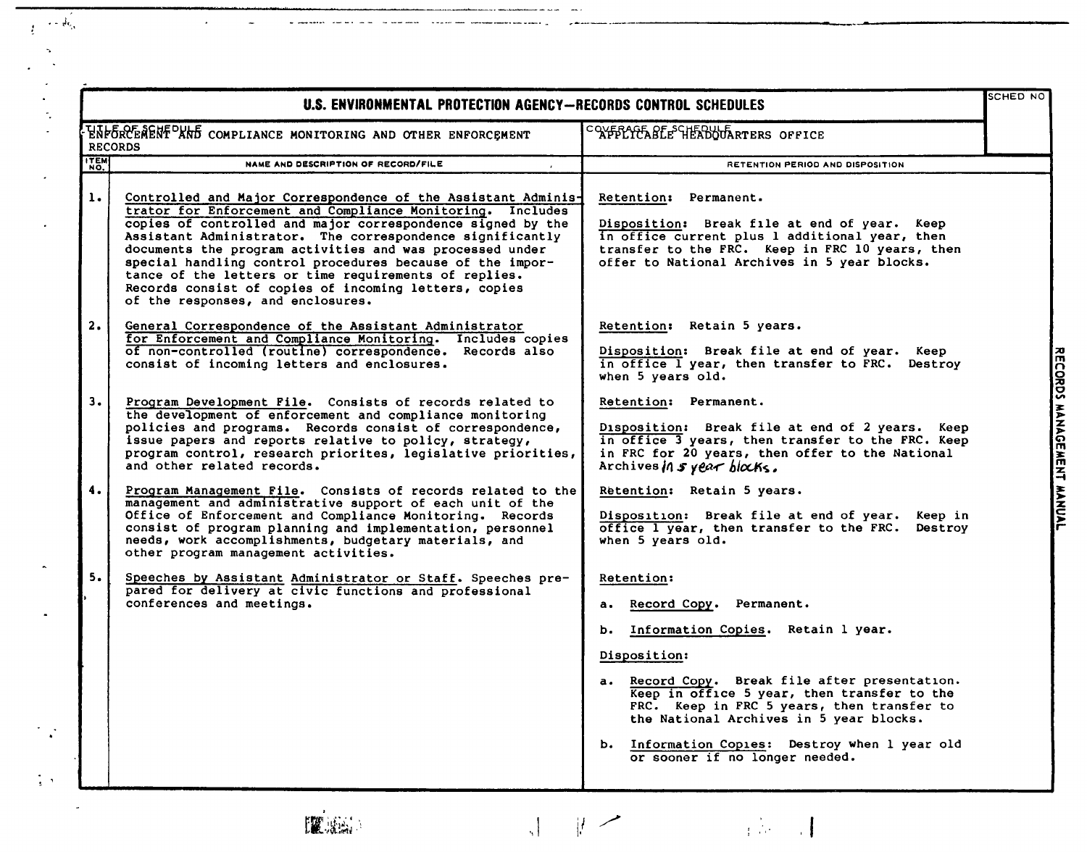|                | U.S. ENVIRONMENTAL PROTECTION AGENCY-RECORDS CONTROL SCHEDULES                                                                                                                                                                                                                                                                                                                                                                                                                                                                          |                                                                                                                                                                                                                                                                                                                                                                                 | <b>SCHED NO</b>           |
|----------------|-----------------------------------------------------------------------------------------------------------------------------------------------------------------------------------------------------------------------------------------------------------------------------------------------------------------------------------------------------------------------------------------------------------------------------------------------------------------------------------------------------------------------------------------|---------------------------------------------------------------------------------------------------------------------------------------------------------------------------------------------------------------------------------------------------------------------------------------------------------------------------------------------------------------------------------|---------------------------|
|                | ENFORCENENT AND COMPLIANCE MONITORING AND OTHER ENFORCEMENT<br><b>RECORDS</b>                                                                                                                                                                                                                                                                                                                                                                                                                                                           | COYFFLICABLE HEADOUARTERS OFFICE                                                                                                                                                                                                                                                                                                                                                |                           |
| <b>ITEM</b>    | NAME AND DESCRIPTION OF RECORD/FILE                                                                                                                                                                                                                                                                                                                                                                                                                                                                                                     | RETENTION PERIOD AND DISPOSITION                                                                                                                                                                                                                                                                                                                                                |                           |
| $\mathbf{1}$ . | Controlled and Major Correspondence of the Assistant Adminis-<br>trator for Enforcement and Compliance Monitoring. Includes<br>copies of controlled and major correspondence signed by the<br>Assistant Administrator. The correspondence significantly<br>documents the program activities and was processed under<br>special handling control procedures because of the impor-<br>tance of the letters or time requirements of replies.<br>Records consist of copies of incoming letters, copies<br>of the responses, and enclosures. | Retention: Permanent.<br>Disposition: Break file at end of year. Keep<br>in office current plus 1 additional year, then<br>transfer to the FRC. Keep in FRC 10 years, then<br>offer to National Archives in 5 year blocks.                                                                                                                                                      |                           |
| 2.             | General Correspondence of the Assistant Administrator<br>for Enforcement and Compliance Monitoring. Includes copies<br>of non-controlled (routine) correspondence. Records also<br>consist of incoming letters and enclosures.                                                                                                                                                                                                                                                                                                          | Retention: Retain 5 years.<br>Disposition: Break file at end of year. Keep<br>in office I year, then transfer to FRC. Destroy<br>when 5 years old.                                                                                                                                                                                                                              |                           |
| 3.             | Program Development File. Consists of records related to<br>the development of enforcement and compliance monitoring<br>policies and programs. Records consist of correspondence,<br>issue papers and reports relative to policy, strategy,<br>program control, research priorites, legislative priorities,<br>and other related records.                                                                                                                                                                                               | Retention: Permanent.<br>Disposition: Break file at end of 2 years. Keep<br>in office 3 years, then transfer to the FRC. Keep<br>in FRC for 20 years, then offer to the National<br>Archives in $s$ year blocks.                                                                                                                                                                | RECORDS MANAGEMENT MANUAL |
| 4.             | Program Management File. Consists of records related to the<br>management and administrative support of each unit of the<br>Office of Enforcement and Compliance Monitoring. Records<br>consist of program planning and implementation, personnel<br>needs, work accomplishments, budgetary materials, and<br>other program management activities.                                                                                                                                                                                      | Retention: Retain 5 years.<br>Disposition: Break file at end of year. Keep in<br>office I year, then transfer to the FRC.<br>Destroy<br>when 5 years old.                                                                                                                                                                                                                       |                           |
| 5.             | Speeches by Assistant Administrator or Staff. Speeches pre-<br>pared for delivery at civic functions and professional<br>conferences and meetings.                                                                                                                                                                                                                                                                                                                                                                                      | Retention:<br>a. Record Copy. Permanent.<br>b. Information Copies. Retain 1 year.<br>Disposition:<br>a. Record Copy. Break file after presentation.<br>Keep in office 5 year, then transfer to the<br>FRC. Keep in FRC 5 years, then transfer to<br>the National Archives in 5 year blocks.<br>b. Information Copies: Destroy when 1 year old<br>or sooner if no longer needed. |                           |

 $\frac{1}{1+\epsilon_0}$  $\bar{L}$ 

 $\frac{1}{3}$  ,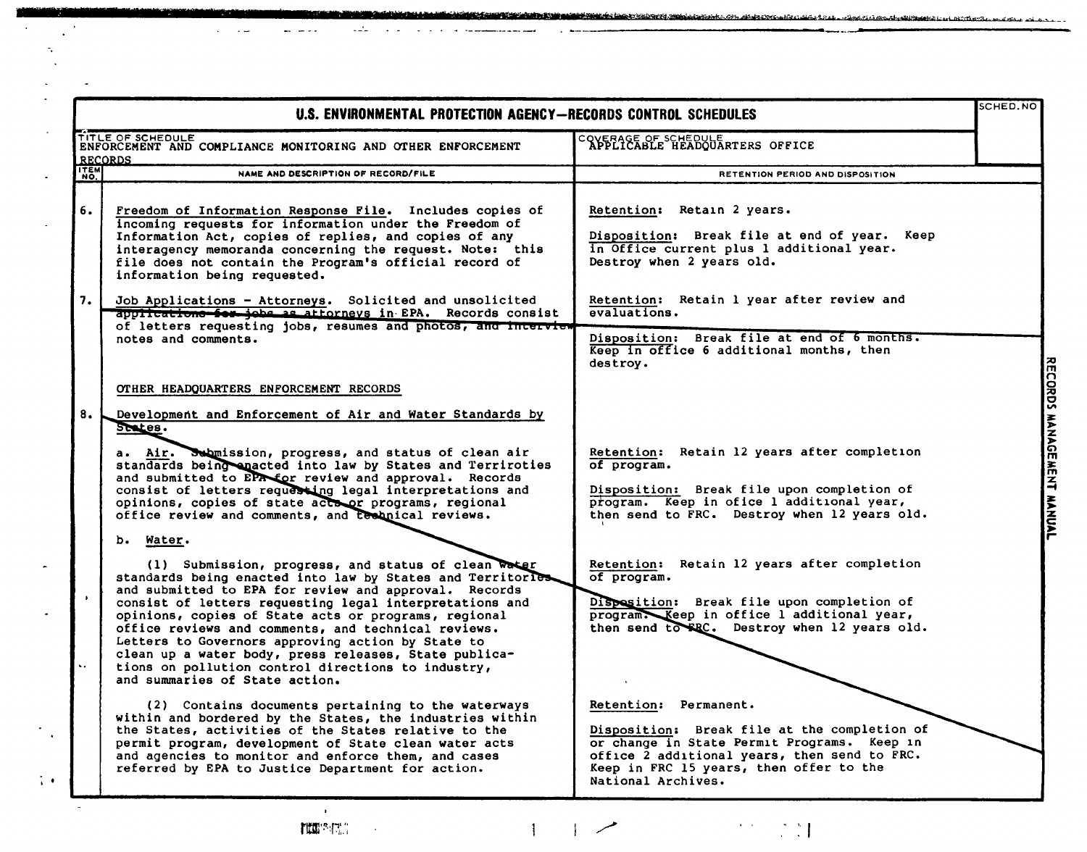|                 | U.S. ENVIRONMENTAL PROTECTION AGENCY-RECORDS CONTROL SCHEDULES                                                                                                                                                                                                                                                                                                                                                                                                                                                                                            |                                                                                                                                                                                                                                       | SCHED.NO |
|-----------------|-----------------------------------------------------------------------------------------------------------------------------------------------------------------------------------------------------------------------------------------------------------------------------------------------------------------------------------------------------------------------------------------------------------------------------------------------------------------------------------------------------------------------------------------------------------|---------------------------------------------------------------------------------------------------------------------------------------------------------------------------------------------------------------------------------------|----------|
|                 | TITLE OF SCHEDULE<br>ENFORCEMENT AND COMPLIANCE MONITORING AND OTHER ENFORCEMENT<br><b>RECORDS</b>                                                                                                                                                                                                                                                                                                                                                                                                                                                        | COVERAGE OF SCHEDULE<br>APPLICABLE HEADQUARTERS OFFICE                                                                                                                                                                                |          |
| ITEM            | NAME AND DESCRIPTION OF RECORD/FILE                                                                                                                                                                                                                                                                                                                                                                                                                                                                                                                       | RETENTION PERIOD AND DISPOSITION                                                                                                                                                                                                      |          |
| 6.              | Freedom of Information Response File. Includes copies of<br>incoming requests for information under the Freedom of<br>Information Act, copies of replies, and copies of any<br>interagency memoranda concerning the request. Note: this<br>file does not contain the Program's official record of<br>information being requested.                                                                                                                                                                                                                         | Retention: Retain 2 years.<br>Disposition: Break file at end of year. Keep<br>in Office current plus 1 additional year.<br>Destroy when 2 years old.                                                                                  |          |
| 7.              | Job Applications - Attorneys. Solicited and unsolicited<br>applications for jobs as attorneys in EPA. Records consist<br>of letters requesting jobs, resumes and photos, and interview                                                                                                                                                                                                                                                                                                                                                                    | Retention: Retain 1 year after review and<br>evaluations.                                                                                                                                                                             |          |
|                 | notes and comments.                                                                                                                                                                                                                                                                                                                                                                                                                                                                                                                                       | Disposition: Break file at end of 6 months.<br>Keep in office 6 additional months, then<br>destroy.                                                                                                                                   |          |
|                 | OTHER HEADQUARTERS ENFORCEMENT RECORDS                                                                                                                                                                                                                                                                                                                                                                                                                                                                                                                    |                                                                                                                                                                                                                                       |          |
| 8.              | Development and Enforcement of Air and Water Standards by<br>States.                                                                                                                                                                                                                                                                                                                                                                                                                                                                                      |                                                                                                                                                                                                                                       |          |
|                 | a. Air. Submission, progress, and status of clean air<br>standards being enacted into law by States and Terriroties<br>and submitted to EPR for review and approval. Records<br>consist of letters requesting legal interpretations and<br>opinions, copies of state actoor programs, regional<br>office review and comments, and technical reviews.                                                                                                                                                                                                      | Retention: Retain 12 years after completion<br>of program.<br>Disposition: Break file upon completion of<br>program. Keep in ofice 1 additional year,<br>then send to FRC. Destroy when 12 years old.                                 |          |
|                 | b. Water.                                                                                                                                                                                                                                                                                                                                                                                                                                                                                                                                                 |                                                                                                                                                                                                                                       |          |
| $\bullet$<br>s. | (1) Submission, progress, and status of clean water<br>standards being enacted into law by States and Territorle<br>and submitted to EPA for review and approval. Records<br>consist of letters requesting legal interpretations and<br>opinions, copies of State acts or programs, regional<br>office reviews and comments, and technical reviews.<br>Letters to Governors approving action by State to<br>clean up a water body, press releases, State publica-<br>tions on pollution control directions to industry,<br>and summaries of State action. | Retention: Retain 12 years after completion<br>of program.<br>Disposition: Break file upon completion of<br>program. Keep in office 1 additional year,<br>then send to FRC. Destroy when 12 years old.                                |          |
|                 | (2) Contains documents pertaining to the waterways<br>within and bordered by the States, the industries within<br>the States, activities of the States relative to the<br>permit program, development of State clean water acts<br>and agencies to monitor and enforce them, and cases<br>referred by EPA to Justice Department for action.                                                                                                                                                                                                               | Retention: Permanent.<br>Disposition: Break file at the completion of<br>or change in State Permit Programs. Keep in<br>office 2 additional years, then send to FRC.<br>Keep in FRC 15 years, then offer to the<br>National Archives. |          |

ستتكخففه

 $\sim$   $\sim$ 

 $\omega_{\rm m}^{-1}$ 

 $\sim$   $\sim$ 

 $\mathcal{L}=\mathcal{L}^{\top}\mathcal{L}$  .

الأمالية التقا

 $\mathcal{L}^{\text{max}}$  and  $\mathcal{L}^{\text{max}}$ 

 $\frac{1}{2}$  .

 $\mathbf{F}^{\text{max}}_{\text{max}}$  $\left| \begin{array}{c} \hline \end{array} \right|$  $\mathcal{P}^{\text{in}} \subset \mathbb{C}[\mathcal{M}]$  $\sim 10^7$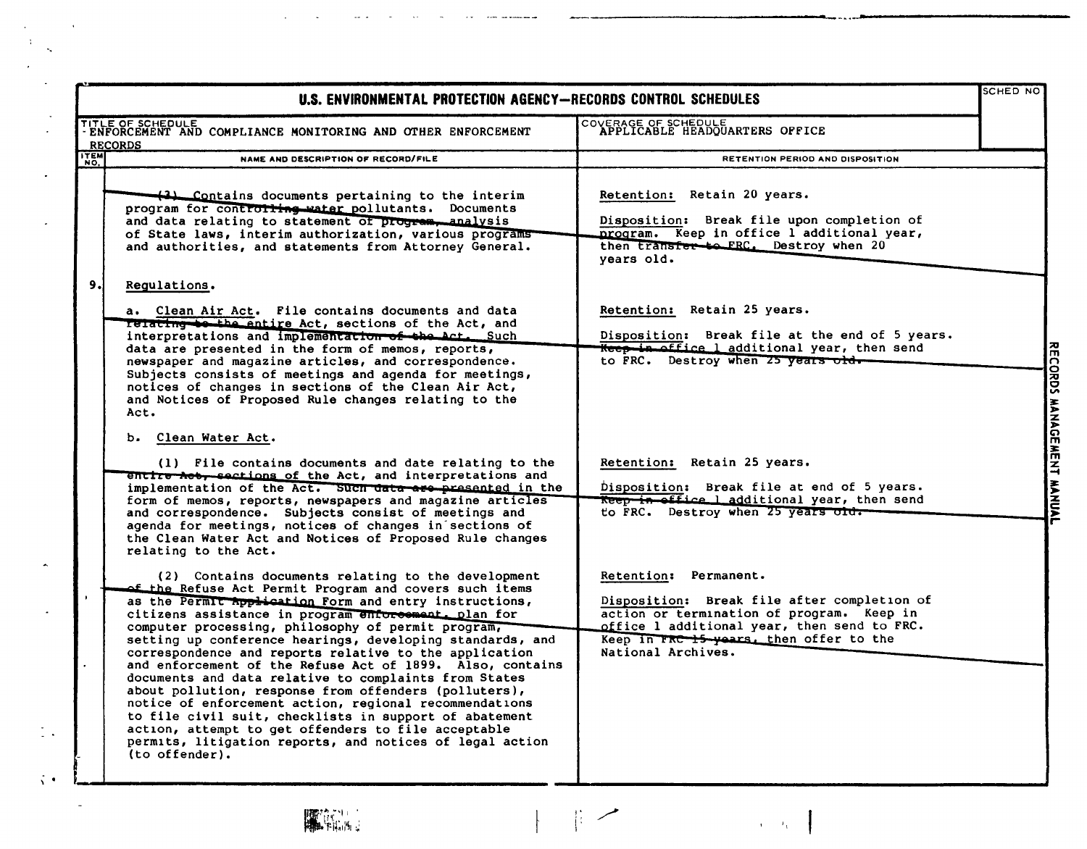|                                                                                                                                                                                                                                                                                                                                                                                                                                                                                                                                                                                                                                                                                                                                                                                                                                                                                                                                                                                                                                                                                                                                                                                                                                                                                                                                                                                                                                                                                                                                                                                                                                                                                                                                                                                                                                                                                                                                                                                                                                                                                                                                                     | <b>SCHED NO</b>                                                |                           |
|-----------------------------------------------------------------------------------------------------------------------------------------------------------------------------------------------------------------------------------------------------------------------------------------------------------------------------------------------------------------------------------------------------------------------------------------------------------------------------------------------------------------------------------------------------------------------------------------------------------------------------------------------------------------------------------------------------------------------------------------------------------------------------------------------------------------------------------------------------------------------------------------------------------------------------------------------------------------------------------------------------------------------------------------------------------------------------------------------------------------------------------------------------------------------------------------------------------------------------------------------------------------------------------------------------------------------------------------------------------------------------------------------------------------------------------------------------------------------------------------------------------------------------------------------------------------------------------------------------------------------------------------------------------------------------------------------------------------------------------------------------------------------------------------------------------------------------------------------------------------------------------------------------------------------------------------------------------------------------------------------------------------------------------------------------------------------------------------------------------------------------------------------------|----------------------------------------------------------------|---------------------------|
| COVERAGE OF SCHEDULE<br>APPLICABLE HEADQUARTERS OFFICE                                                                                                                                                                                                                                                                                                                                                                                                                                                                                                                                                                                                                                                                                                                                                                                                                                                                                                                                                                                                                                                                                                                                                                                                                                                                                                                                                                                                                                                                                                                                                                                                                                                                                                                                                                                                                                                                                                                                                                                                                                                                                              |                                                                |                           |
| RETENTION PERIOD AND DISPOSITION                                                                                                                                                                                                                                                                                                                                                                                                                                                                                                                                                                                                                                                                                                                                                                                                                                                                                                                                                                                                                                                                                                                                                                                                                                                                                                                                                                                                                                                                                                                                                                                                                                                                                                                                                                                                                                                                                                                                                                                                                                                                                                                    |                                                                |                           |
| Retention: Retain 20 years.<br>Disposition: Break file upon completion of<br>program. Keep in office l additional year,<br>then transfer to FRC. Destroy when 20<br>vears old.                                                                                                                                                                                                                                                                                                                                                                                                                                                                                                                                                                                                                                                                                                                                                                                                                                                                                                                                                                                                                                                                                                                                                                                                                                                                                                                                                                                                                                                                                                                                                                                                                                                                                                                                                                                                                                                                                                                                                                      |                                                                |                           |
| Retention: Retain 25 years.<br>Disposition: Break file at the end of 5 years.<br>Keep in office 1 additional year, then send<br>to FRC. Destroy when 25 years old.<br>Retention: Retain 25 years.<br>Disposition: Break file at end of 5 years.<br>Reep in office 1 additional year, then send<br>to FRC. Destroy when 25 years old.<br>Retention: Permanent.<br>Disposition: Break file after completion of<br>action or termination of program. Keep in<br>office 1 additional year, then send to FRC.<br>Keep in FRC 15 years, then offer to the<br>National Archives.                                                                                                                                                                                                                                                                                                                                                                                                                                                                                                                                                                                                                                                                                                                                                                                                                                                                                                                                                                                                                                                                                                                                                                                                                                                                                                                                                                                                                                                                                                                                                                           |                                                                | RECORDS MANAGEMENT MANUAL |
| TITLE OF SCHEDULE<br>- ENFORCEMENT AND COMPLIANCE MONITORING AND OTHER ENFORCEMENT<br>NAME AND DESCRIPTION OF RECORD/FILE<br>$\left($ 3) Contains documents pertaining to the interim<br>program for controlling water pollutants. Documents<br>and data relating to statement of program, analysis<br>of State laws, interim authorization, various programs<br>and authorities, and statements from Attorney General.<br>a. Clean Air Act. File contains documents and data<br>relating to the entire Act, sections of the Act, and<br>interpretations and implementation of the Act. Such<br>data are presented in the form of memos, reports,<br>newspaper and magazine articles, and correspondence.<br>Subjects consists of meetings and agenda for meetings,<br>notices of changes in sections of the Clean Air Act,<br>and Notices of Proposed Rule changes relating to the<br>(1) File contains documents and date relating to the<br>entire het, sections of the Act, and interpretations and<br>implementation of the Act. Such data are presented in the<br>form of memos, reports, newspapers and magazine articles<br>and correspondence. Subjects consist of meetings and<br>agenda for meetings, notices of changes in sections of<br>the Clean Water Act and Notices of Proposed Rule changes<br>(2) Contains documents relating to the development<br>of the Refuse Act Permit Program and covers such items<br>as the Permit Application Form and entry instructions,<br>citizens assistance in program enforcement. plan for<br>computer processing, philosophy of permit program,<br>setting up conference hearings, developing standards, and<br>correspondence and reports relative to the application<br>and enforcement of the Refuse Act of 1899. Also, contains<br>documents and data relative to complaints from States<br>about pollution, response from offenders (polluters),<br>notice of enforcement action, regional recommendations<br>to file civil suit, checklists in support of abatement<br>action, attempt to get offenders to file acceptable<br>permits, litigation reports, and notices of legal action | U.S. ENVIRONMENTAL PROTECTION AGENCY-RECORDS CONTROL SCHEDULES |                           |



 $\Delta$ Ñ,

 $\overline{\phantom{a}}$ 

 $\frac{1}{2}$  .

 $\mathcal{L}^{\bullet}$ 

 $\mathbb{R}$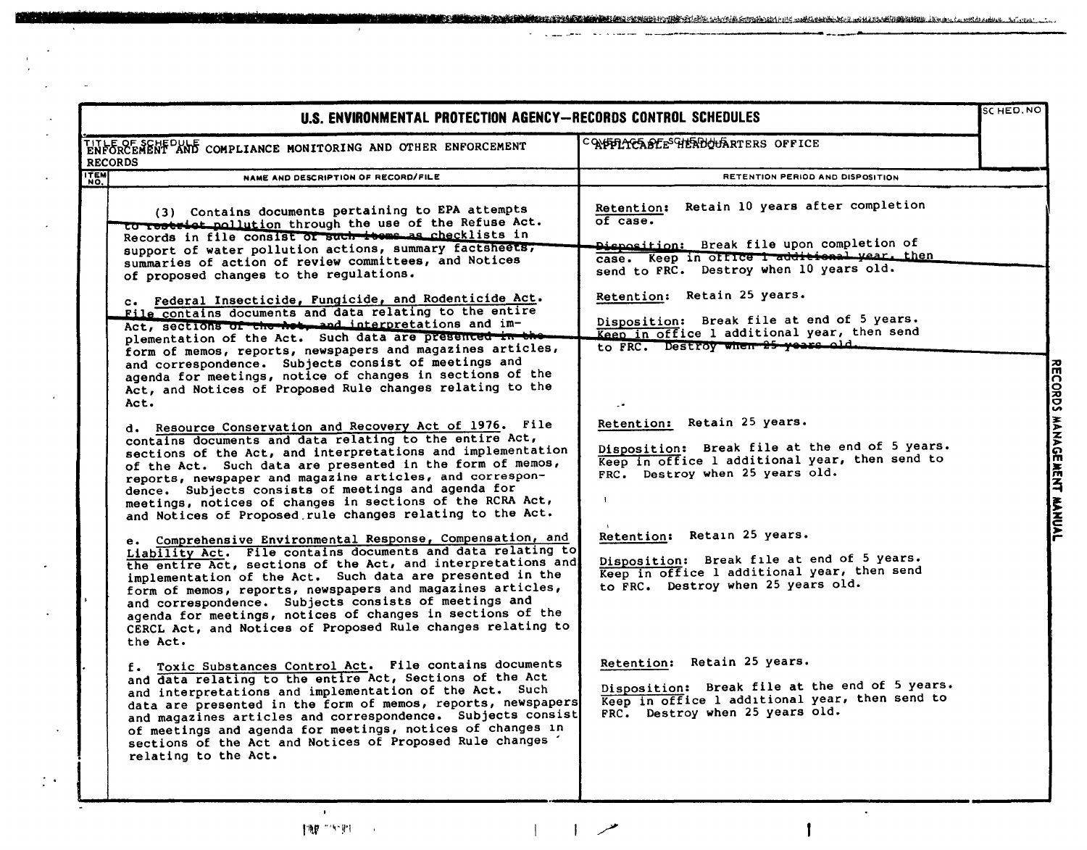|                | U.S. ENVIRONMENTAL PROTECTION AGENCY-RECORDS CONTROL SCHEDULES                                                                                                                                                                                                                                                                                                                                                                                                                                                                                                                                                                                                                                                                                                                                                                                                                                                                                                                                                                                                                                                                                                              |                                                                                                                                                                                                                                                                                                                                                                                                                                                                                                                                          | SCHED. NO |
|----------------|-----------------------------------------------------------------------------------------------------------------------------------------------------------------------------------------------------------------------------------------------------------------------------------------------------------------------------------------------------------------------------------------------------------------------------------------------------------------------------------------------------------------------------------------------------------------------------------------------------------------------------------------------------------------------------------------------------------------------------------------------------------------------------------------------------------------------------------------------------------------------------------------------------------------------------------------------------------------------------------------------------------------------------------------------------------------------------------------------------------------------------------------------------------------------------|------------------------------------------------------------------------------------------------------------------------------------------------------------------------------------------------------------------------------------------------------------------------------------------------------------------------------------------------------------------------------------------------------------------------------------------------------------------------------------------------------------------------------------------|-----------|
| <b>RECORDS</b> | TITLE OF SCHEDULE<br>ENFORCEMENT AND COMPLIANCE MONITORING AND OTHER ENFORCEMENT                                                                                                                                                                                                                                                                                                                                                                                                                                                                                                                                                                                                                                                                                                                                                                                                                                                                                                                                                                                                                                                                                            | CONFILICABLE <sup>SCHER</sup> DULARTERS OFFICE                                                                                                                                                                                                                                                                                                                                                                                                                                                                                           |           |
|                | NAME AND DESCRIPTION OF RECORD/FILE                                                                                                                                                                                                                                                                                                                                                                                                                                                                                                                                                                                                                                                                                                                                                                                                                                                                                                                                                                                                                                                                                                                                         | RETENTION PERIOD AND DISPOSITION                                                                                                                                                                                                                                                                                                                                                                                                                                                                                                         |           |
| <b>ITEM</b>    | (3) Contains documents pertaining to EPA attempts<br>to restrict pollution through the use of the Refuse Act.<br>Records in file consist of such teems as checklists in<br>support of water pollution actions, summary factsheets;<br>summaries of action of review committees, and Notices<br>of proposed changes to the regulations.<br>c. Federal Insecticide, Fungicide, and Rodenticide Act.<br>File contains documents and data relating to the entire<br>Act, sections of the het, and interpretations and im-<br>plementation of the Act. Such data are presented in the<br>form of memos, reports, newspapers and magazines articles,<br>and correspondence. Subjects consist of meetings and<br>agenda for meetings, notice of changes in sections of the<br>Act, and Notices of Proposed Rule changes relating to the<br>Act.<br>d. Resource Conservation and Recovery Act of 1976. File<br>contains documents and data relating to the entire Act,<br>sections of the Act, and interpretations and implementation<br>of the Act. Such data are presented in the form of memos,<br>reports, newspaper and magazine articles, and correspon-                      | Retention: Retain 10 years after completion<br>of case.<br>Disposition: Break file upon completion of<br>case. Keep in office I additional year, then<br>send to FRC. Destroy when 10 years old.<br>Retention: Retain 25 years.<br>Disposition: Break file at end of 5 years.<br>Keep in office 1 additional year, then send<br>to FRC. Destroy when 25 years old.<br>Retention: Retain 25 years.<br>Disposition: Break file at the end of 5 years.<br>Keep in office 1 additional year, then send to<br>FRC. Destroy when 25 years old. |           |
|                | dence. Subjects consists of meetings and agenda for<br>meetings, notices of changes in sections of the RCRA Act,<br>and Notices of Proposed rule changes relating to the Act.<br>e. Comprehensive Environmental Response, Compensation, and<br>Liability Act. File contains documents and data relating to<br>the entire Act, sections of the Act, and interpretations and<br>implementation of the Act. Such data are presented in the<br>form of memos, reports, newspapers and magazines articles,<br>and correspondence. Subjects consists of meetings and<br>agenda for meetings, notices of changes in sections of the<br>CERCL Act, and Notices of Proposed Rule changes relating to<br>the Act.<br>f. Toxic Substances Control Act. File contains documents<br>and data relating to the entire Act, Sections of the Act<br>and interpretations and implementation of the Act. Such<br>data are presented in the form of memos, reports, newspapers<br>and magazines articles and correspondence. Subjects consist<br>of meetings and agenda for meetings, notices of changes in<br>sections of the Act and Notices of Proposed Rule changes<br>relating to the Act. | Retention: Retain 25 years.<br>Disposition: Break file at end of 5 years.<br>Keep in office 1 additional year, then send<br>to FRC. Destroy when 25 years old.<br>Retention: Retain 25 years.<br>Disposition: Break file at the end of 5 years.<br>Keep in office 1 additional year, then send to<br>FRC. Destroy when 25 years old.                                                                                                                                                                                                     |           |

 $\sim$   $\sim$   $\sim$ 

**Committee Committee** 

 $\sim$ 

المستحدة

 $\pmb{\cdot}$ 

 $\mathbb{C}^{\mathbb{Z}}$ 

 $\mathcal{L}$ 

 $\mathbf{I}$ 

 $\ddot{\phantom{a}}$ 

**e a commentary and the construction of the comment of the construction of a construction of the construction of the construction of the construction of the construction of the construction of the construction of the const** 

and the contract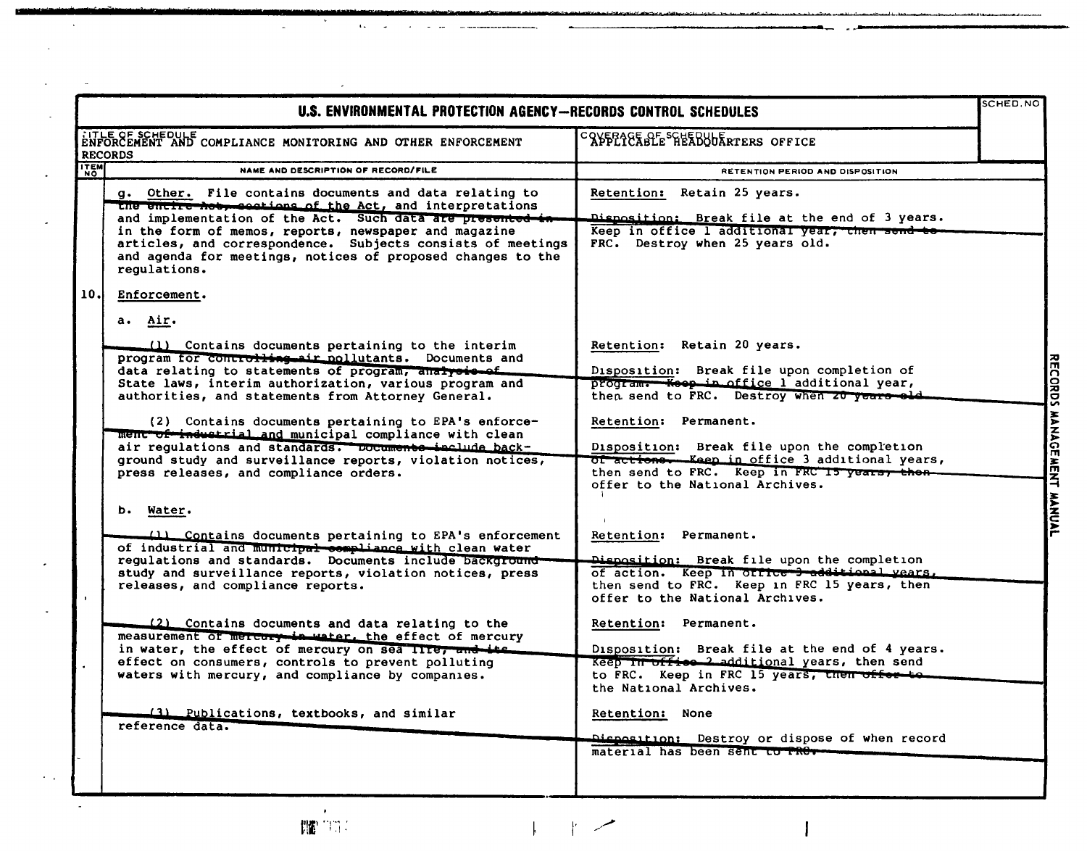|             | U.S. ENVIRONMENTAL PROTECTION AGENCY-RECORDS CONTROL SCHEDULES                                                                                                                                                                                                                                                                                                                                                                                                                                                                                                                                                                                                                                                                                                  |                                                                                                                                                                                                                                                                                                                                                                                                                                                               | SCHED.NO                  |
|-------------|-----------------------------------------------------------------------------------------------------------------------------------------------------------------------------------------------------------------------------------------------------------------------------------------------------------------------------------------------------------------------------------------------------------------------------------------------------------------------------------------------------------------------------------------------------------------------------------------------------------------------------------------------------------------------------------------------------------------------------------------------------------------|---------------------------------------------------------------------------------------------------------------------------------------------------------------------------------------------------------------------------------------------------------------------------------------------------------------------------------------------------------------------------------------------------------------------------------------------------------------|---------------------------|
|             | TITLE OF SCHEDULE COMPLIANCE MONITORING AND OTHER ENFORCEMENT<br><b>RECORDS</b>                                                                                                                                                                                                                                                                                                                                                                                                                                                                                                                                                                                                                                                                                 | CAYPE TERPLE SERE PREADURIERS OFFICE                                                                                                                                                                                                                                                                                                                                                                                                                          |                           |
| <b>TTEM</b> | NAME AND DESCRIPTION OF RECORD/FILE                                                                                                                                                                                                                                                                                                                                                                                                                                                                                                                                                                                                                                                                                                                             | RETENTION PERIOD AND DISPOSITION                                                                                                                                                                                                                                                                                                                                                                                                                              |                           |
|             | g. Other. File contains documents and data relating to<br>the entire hot, sections of the Act, and interpretations<br>and implementation of the Act. Such data are presented in<br>in the form of memos, reports, newspaper and magazine<br>articles, and correspondence. Subjects consists of meetings<br>and agenda for meetings, notices of proposed changes to the<br>regulations.                                                                                                                                                                                                                                                                                                                                                                          | Retention: Retain 25 years.<br>Disposition: Break file at the end of 3 years.<br>Keep in office 1 additional year, then send to<br>FRC. Destroy when 25 years old.                                                                                                                                                                                                                                                                                            |                           |
| 10.         | Enforcement.<br>a. Air.                                                                                                                                                                                                                                                                                                                                                                                                                                                                                                                                                                                                                                                                                                                                         |                                                                                                                                                                                                                                                                                                                                                                                                                                                               |                           |
|             | (1) Contains documents pertaining to the interim<br>program for controlling air pollutants. Documents and<br>data relating to statements of program, analysis of<br>State laws, interim authorization, various program and<br>authorities, and statements from Attorney General.<br>(2) Contains documents pertaining to EPA's enforce-<br>ment of industrial and municipal compliance with clean<br>air regulations and standards. Documents include back-<br>ground study and surveillance reports, violation notices,<br>press releases, and compliance orders.<br>b. Water.<br>(1) Contains documents pertaining to EPA's enforcement<br>of industrial and municipal compliance with clean water<br>regulations and standards. Documents include background | Retention: Retain 20 years.<br>Disposition: Break file upon completion of<br>program. Keep in office I additional year,<br>then send to FRC. Destroy when 20 years old.<br>Retention: Permanent.<br>Disposition: Break file upon the completion<br>of actions. Keep in office 3 additional years,<br>then send to FRC. Keep in FRC 15 years, then-<br>offer to the National Archives.<br>Retention: Permanent.<br>Disposition: Break file upon the completion | RECORDS MANAGEMENT MANUAL |
|             | study and surveillance reports, violation notices, press<br>releases, and compliance reports.<br>(2) Contains documents and data relating to the<br>measurement of mercury-in water, the effect of mercury<br>in water, the effect of mercury on sea Ille, and its<br>effect on consumers, controls to prevent polluting<br>waters with mercury, and compliance by companies.<br>(3) Publications, textbooks, and similar<br>reference data.                                                                                                                                                                                                                                                                                                                    | of action. Keep in ottice 3 additional vears.<br>then send to FRC. Keep in FRC 15 years, then<br>offer to the National Archives.<br>Retention: Permanent.<br>Disposition: Break file at the end of 4 years.<br>Keep in office 2 additional years, then send<br>to FRC. Keep in FRC 15 years, then offer to<br>the National Archives.<br>Retention: None<br>Disposition: Destroy or dispose of when record<br>material has been sent to PRO-                   |                           |
|             |                                                                                                                                                                                                                                                                                                                                                                                                                                                                                                                                                                                                                                                                                                                                                                 |                                                                                                                                                                                                                                                                                                                                                                                                                                                               |                           |

 $\overline{a}$ 

 $\ddot{\phantom{a}}$ 

P. للمسر

 $\mathsf{L}$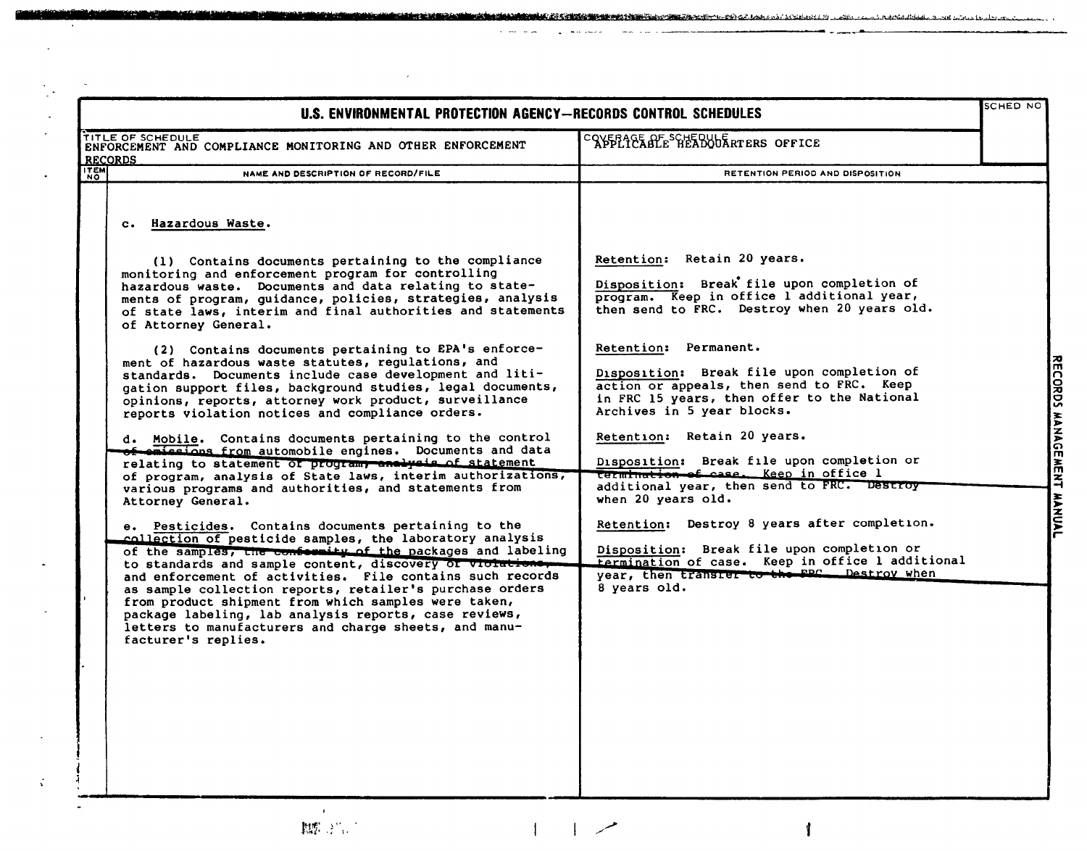| U.S. ENVIRONMENTAL PROTECTION AGENCY-RECORDS CONTROL SCHEDULES |                                                                                                                                                                                                                                                                                                                                                                                                                                                                                                                                                                                                                                                                                                                                                                                                                                                                                                                                                                                                                                                                                                                                                                                                                                                                                                                                                                                                                                                                                                                                                                                                          |                                                                                                                                                                                                                                                                                                                                                                                                                                                                                                                                                                                                                                                                                                                                                                                     |                           |
|----------------------------------------------------------------|----------------------------------------------------------------------------------------------------------------------------------------------------------------------------------------------------------------------------------------------------------------------------------------------------------------------------------------------------------------------------------------------------------------------------------------------------------------------------------------------------------------------------------------------------------------------------------------------------------------------------------------------------------------------------------------------------------------------------------------------------------------------------------------------------------------------------------------------------------------------------------------------------------------------------------------------------------------------------------------------------------------------------------------------------------------------------------------------------------------------------------------------------------------------------------------------------------------------------------------------------------------------------------------------------------------------------------------------------------------------------------------------------------------------------------------------------------------------------------------------------------------------------------------------------------------------------------------------------------|-------------------------------------------------------------------------------------------------------------------------------------------------------------------------------------------------------------------------------------------------------------------------------------------------------------------------------------------------------------------------------------------------------------------------------------------------------------------------------------------------------------------------------------------------------------------------------------------------------------------------------------------------------------------------------------------------------------------------------------------------------------------------------------|---------------------------|
| TITLE OF SCHEDULE<br><b>RECORDS</b>                            | ENFORCEMENT AND COMPLIANCE MONITORING AND OTHER ENFORCEMENT                                                                                                                                                                                                                                                                                                                                                                                                                                                                                                                                                                                                                                                                                                                                                                                                                                                                                                                                                                                                                                                                                                                                                                                                                                                                                                                                                                                                                                                                                                                                              | COVERAGE ALE SCHEDUUR RTERS OFFICE                                                                                                                                                                                                                                                                                                                                                                                                                                                                                                                                                                                                                                                                                                                                                  |                           |
| <b>ITEM</b><br><b>NO</b>                                       | NAME AND DESCRIPTION OF RECORD/FILE                                                                                                                                                                                                                                                                                                                                                                                                                                                                                                                                                                                                                                                                                                                                                                                                                                                                                                                                                                                                                                                                                                                                                                                                                                                                                                                                                                                                                                                                                                                                                                      | RETENTION PERIOD AND DISPOSITION                                                                                                                                                                                                                                                                                                                                                                                                                                                                                                                                                                                                                                                                                                                                                    |                           |
|                                                                | c. Hazardous Waste.<br>(1) Contains documents pertaining to the compliance<br>monitoring and enforcement program for controlling<br>hazardous waste. Documents and data relating to state-<br>ments of program, guidance, policies, strategies, analysis<br>of state laws, interim and final authorities and statements<br>of Attorney General.<br>(2) Contains documents pertaining to EPA's enforce-<br>ment of hazardous waste statutes, regulations, and<br>standards. Documents include case development and liti-<br>gation support files, background studies, legal documents,<br>opinions, reports, attorney work product, surveillance<br>reports violation notices and compliance orders.<br>d. Mobile. Contains documents pertaining to the control<br>of emissions from automobile engines. Documents and data<br>relating to statement of program, analysis of statement<br>of program, analysis of State laws, interim authorizations,<br>various programs and authorities, and statements from<br>Attorney General.<br>e. Pesticides. Contains documents pertaining to the<br>collection of pesticide samples, the laboratory analysis<br>of the samples, the confermity of the packages and labeling<br>to standards and sample content, discovery of violatio<br>and enforcement of activities. File contains such records<br>as sample collection reports, retailer's purchase orders<br>from product shipment from which samples were taken,<br>package labeling, lab analysis reports, case reviews,<br>letters to manufacturers and charge sheets, and manu-<br>facturer's replies. | Retention: Retain 20 years.<br>Disposition: Break file upon completion of<br>program. Keep in office l additional year,<br>then send to FRC. Destroy when 20 years old.<br>Retention: Permanent.<br>Disposition: Break file upon completion of<br>action or appeals, then send to FRC. Keep<br>in FRC 15 years, then offer to the National<br>Archives in 5 year blocks.<br>Retention: Retain 20 years.<br>Disposition: Break file upon completion or<br>termination of case. Keep in office 1<br>additional year, then send to FRC. Destroy<br>when 20 years old.<br>Retention: Destroy 8 years after completion.<br>Disposition: Break file upon completion or<br>termination of case. Keep in office 1 additional<br>year, then transier to the FPC Destroy when<br>8 years old. | RECORDS MANAGEMENT MANUAL |

**Contractor** 

 $\sim$ 

 $\ddot{\cdot}$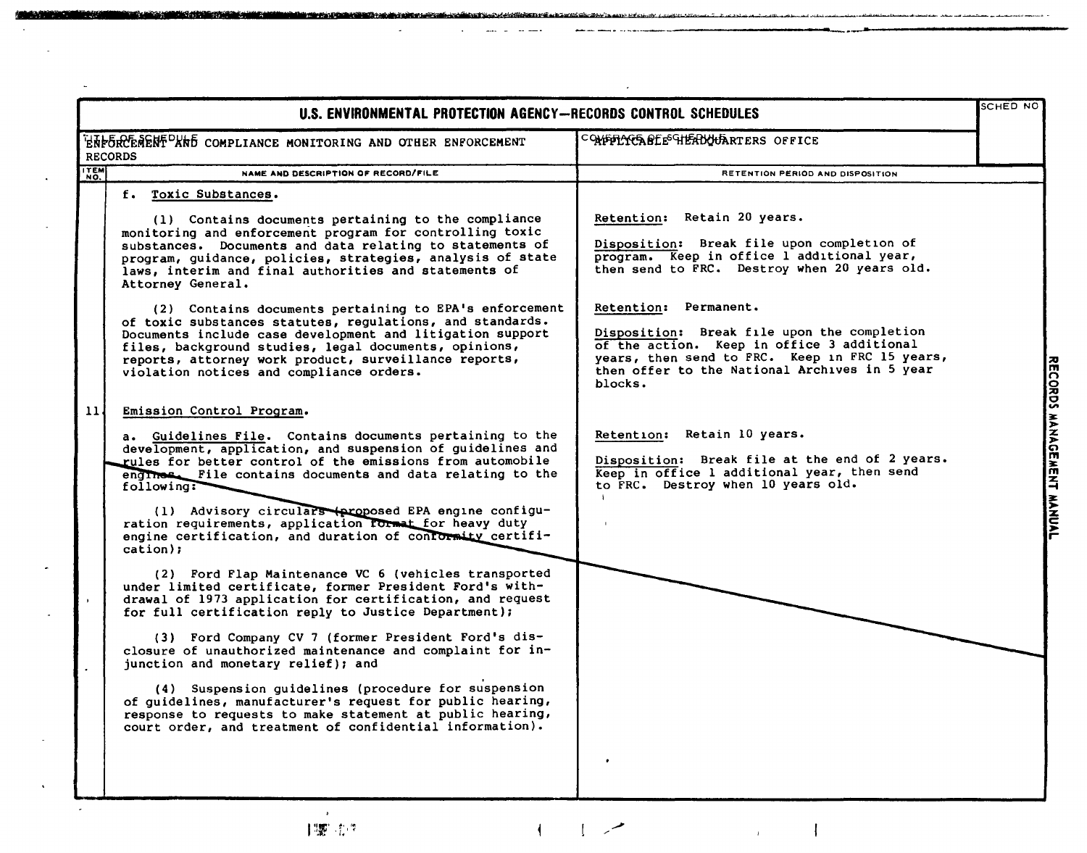|                 | U.S. ENVIRONMENTAL PROTECTION AGENCY-RECORDS CONTROL SCHEDULES                                                                                                                                                                                                                                                                                 |                                                                                                                                                                                                                                  |  |  |  |
|-----------------|------------------------------------------------------------------------------------------------------------------------------------------------------------------------------------------------------------------------------------------------------------------------------------------------------------------------------------------------|----------------------------------------------------------------------------------------------------------------------------------------------------------------------------------------------------------------------------------|--|--|--|
| <b>RECORDS</b>  | ENFORCEMENT <sup>D</sup> AND COMPLIANCE MONITORING AND OTHER ENFORCEMENT                                                                                                                                                                                                                                                                       | COMPLACABLE HEADOUARTERS OFFICE                                                                                                                                                                                                  |  |  |  |
| <b>TEM</b>      | NAME AND DESCRIPTION OF RECORD/FILE                                                                                                                                                                                                                                                                                                            | RETENTION PERIOD AND DISPOSITION                                                                                                                                                                                                 |  |  |  |
|                 | f. Toxic Substances.                                                                                                                                                                                                                                                                                                                           |                                                                                                                                                                                                                                  |  |  |  |
|                 | (1) Contains documents pertaining to the compliance<br>monitoring and enforcement program for controlling toxic<br>substances. Documents and data relating to statements of<br>program, guidance, policies, strategies, analysis of state<br>laws, interim and final authorities and statements of<br>Attorney General.                        | Retention: Retain 20 years.<br>Disposition: Break file upon completion of<br>program. Keep in office l additional year,<br>then send to FRC. Destroy when 20 years old.                                                          |  |  |  |
|                 | (2) Contains documents pertaining to EPA's enforcement<br>of toxic substances statutes, regulations, and standards.<br>Documents include case development and litigation support<br>files, background studies, legal documents, opinions,<br>reports, attorney work product, surveillance reports,<br>violation notices and compliance orders. | Retention: Permanent.<br>Disposition: Break file upon the completion<br>of the action. Keep in office 3 additional<br>years, then send to FRC. Keep in FRC 15 years,<br>then offer to the National Archives in 5 year<br>blocks. |  |  |  |
| 11 <sub>1</sub> | Emission Control Program.                                                                                                                                                                                                                                                                                                                      |                                                                                                                                                                                                                                  |  |  |  |
|                 | a. Guidelines File. Contains documents pertaining to the<br>development, application, and suspension of guidelines and<br>rules for better control of the emissions from automobile<br>engines. File contains documents and data relating to the<br>following:                                                                                 | Retention: Retain 10 years.<br>Disposition: Break file at the end of 2 years.<br>Keep in office 1 additional year, then send<br>to FRC. Destroy when 10 years old.                                                               |  |  |  |
|                 | (1) Advisory circulars (proposed EPA engine configu-<br>ration requirements, application format for heavy duty<br>engine certification, and duration of conformity certifi-<br>cation);                                                                                                                                                        |                                                                                                                                                                                                                                  |  |  |  |
|                 | (2) Ford Flap Maintenance VC 6 (vehicles transported<br>under limited certificate, former President Ford's with-<br>drawal of 1973 application for certification, and request<br>for full certification reply to Justice Department);                                                                                                          |                                                                                                                                                                                                                                  |  |  |  |
|                 | (3) Ford Company CV 7 (former President Ford's dis-<br>closure of unauthorized maintenance and complaint for in-<br>junction and monetary relief); and                                                                                                                                                                                         |                                                                                                                                                                                                                                  |  |  |  |
|                 | (4) Suspension guidelines (procedure for suspension<br>of guidelines, manufacturer's request for public hearing,<br>response to requests to make statement at public hearing,<br>court order, and treatment of confidential information).                                                                                                      |                                                                                                                                                                                                                                  |  |  |  |
|                 |                                                                                                                                                                                                                                                                                                                                                | ٠                                                                                                                                                                                                                                |  |  |  |

 $\left\vert \cdot\right\vert$ 

المسمر المسا

 $\mathbf{I}$ 

 $\bar{r}$ 

 $\overline{a}$ 

<u> 19 mars - Frans Andreas Andrewski, amerikan bisan</u>

1號元件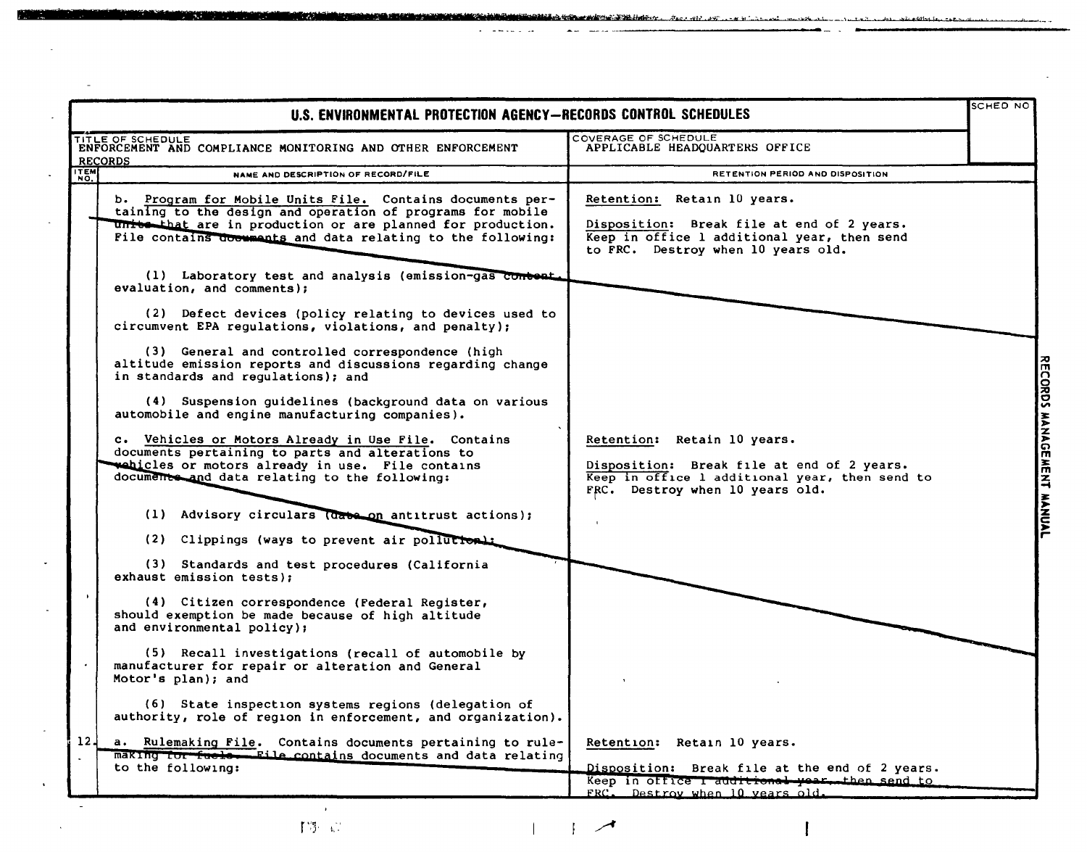| SCHED NO<br>U.S. ENVIRONMENTAL PROTECTION AGENCY-RECORDS CONTROL SCHEDULES |                                                                                                                                                                                                                                                       |                                                                                                                                                                |                           |
|----------------------------------------------------------------------------|-------------------------------------------------------------------------------------------------------------------------------------------------------------------------------------------------------------------------------------------------------|----------------------------------------------------------------------------------------------------------------------------------------------------------------|---------------------------|
| <b>RECORDS</b>                                                             | TITLE OF SCHEDULE<br>ENFORCEMENT AND COMPLIANCE MONITORING AND OTHER ENFORCEMENT                                                                                                                                                                      | COVERAGE OF SCHEDULE<br>APPLICABLE HEADQUARTERS OFFICE                                                                                                         |                           |
| ITEM                                                                       | NAME AND DESCRIPTION OF RECORD/FILE                                                                                                                                                                                                                   | RETENTION PERIOD AND DISPOSITION                                                                                                                               |                           |
|                                                                            | b. Program for Mobile Units File. Contains documents per-<br>taining to the design and operation of programs for mobile<br>units that are in production or are planned for production.<br>File contains doemmants and data relating to the following: | Retention: Retain 10 years.<br>Disposition: Break file at end of 2 years.<br>Keep in office 1 additional year, then send<br>to FRC. Destroy when 10 years old. |                           |
|                                                                            | (1) Laboratory test and analysis (emission-gas content,<br>evaluation, and comments);                                                                                                                                                                 |                                                                                                                                                                |                           |
|                                                                            | (2) Defect devices (policy relating to devices used to<br>circumvent EPA regulations, violations, and penalty);                                                                                                                                       |                                                                                                                                                                |                           |
|                                                                            | (3) General and controlled correspondence (high<br>altitude emission reports and discussions regarding change<br>in standards and regulations); and                                                                                                   |                                                                                                                                                                |                           |
|                                                                            | (4) Suspension guidelines (background data on various<br>automobile and engine manufacturing companies).                                                                                                                                              |                                                                                                                                                                |                           |
|                                                                            | c. Vehicles or Motors Already in Use File. Contains<br>documents pertaining to parts and alterations to<br>webicles or motors already in use. File contains<br>documents and data relating to the following:                                          | Retention: Retain 10 years.<br>Disposition: Break file at end of 2 years.<br>Keep in office 1 additional year, then send to<br>FRC. Destroy when 10 years old. | RECORDS MANAGEMENT MANUAL |
|                                                                            | (1) Advisory circulars (date on antitrust actions);                                                                                                                                                                                                   |                                                                                                                                                                |                           |
|                                                                            | (2) Clippings (ways to prevent air pollution):                                                                                                                                                                                                        |                                                                                                                                                                |                           |
|                                                                            | (3) Standards and test procedures (California<br>exhaust emission tests):                                                                                                                                                                             |                                                                                                                                                                |                           |
| $\mathbf{F}$                                                               | (4) Citizen correspondence (Federal Register,<br>should exemption be made because of high altitude<br>and environmental policy);                                                                                                                      |                                                                                                                                                                |                           |
|                                                                            | (5) Recall investigations (recall of automobile by<br>manufacturer for repair or alteration and General<br>Motor's plan); and                                                                                                                         |                                                                                                                                                                |                           |
|                                                                            | (6) State inspection systems regions (delegation of<br>authority, role of region in enforcement, and organization).                                                                                                                                   |                                                                                                                                                                |                           |
| 12 <sub>1</sub>                                                            | a. Rulemaking File. Contains documents pertaining to rule-<br>making for fuelow File contains documents and data relating<br>to the following:                                                                                                        | Retention: Retain 10 years.<br>Disposition: Break file at the end of 2 years.                                                                                  |                           |
|                                                                            |                                                                                                                                                                                                                                                       | Keep in office I additional year, then send to<br>FRC. Destroy when 10 years old.                                                                              |                           |

a a shi a cha cha ann an chaodh an chaidh ann an chaodh an chaonn an chaidh an chaol an chaidh an chaol an cha

a canala di

控制。

فالأجالات

 $\left| \begin{array}{c} \hline \end{array} \right|$ 

**County**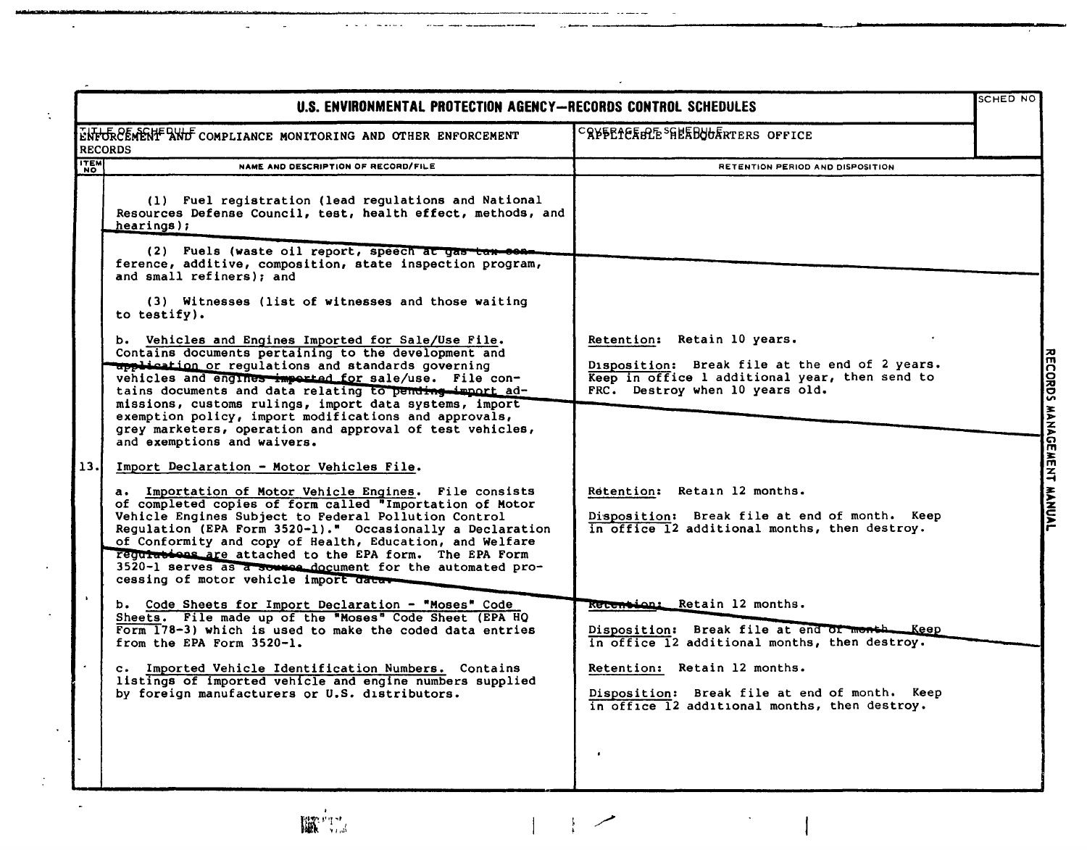| U.S. ENVIRONMENTAL PROTECTION AGENCY-RECORDS CONTROL SCHEDULES |                                                                                                                                                                                                                                                                                                                                                                                                                                                                     |                                                                                                                                                                    |                           |  |
|----------------------------------------------------------------|---------------------------------------------------------------------------------------------------------------------------------------------------------------------------------------------------------------------------------------------------------------------------------------------------------------------------------------------------------------------------------------------------------------------------------------------------------------------|--------------------------------------------------------------------------------------------------------------------------------------------------------------------|---------------------------|--|
|                                                                | ENFORCEMENT AND COMPLIANCE MONITORING AND OTHER ENFORCEMENT<br><b>RECORDS</b>                                                                                                                                                                                                                                                                                                                                                                                       | CRYPEICEBLE <sup>S</sup> HEEBOORTERS OFFICE                                                                                                                        |                           |  |
| <b>ITEM</b>                                                    | NAME AND DESCRIPTION OF RECORD/FILE                                                                                                                                                                                                                                                                                                                                                                                                                                 | RETENTION PERIOD AND DISPOSITION                                                                                                                                   |                           |  |
|                                                                | (1) Fuel registration (lead regulations and National<br>Resources Defense Council, test, health effect, methods, and<br>hearings);                                                                                                                                                                                                                                                                                                                                  |                                                                                                                                                                    |                           |  |
|                                                                | (2) Fuels (waste oil report, speech at gas tax con-<br>ference, additive, composition, state inspection program,<br>and small refiners); and                                                                                                                                                                                                                                                                                                                        |                                                                                                                                                                    |                           |  |
|                                                                | (3) Witnesses (list of witnesses and those waiting<br>to testify).                                                                                                                                                                                                                                                                                                                                                                                                  |                                                                                                                                                                    |                           |  |
|                                                                | b. Vehicles and Engines Imported for Sale/Use File.<br>Contains documents pertaining to the development and<br><b>upplication or regulations and standards governing</b><br>vehicles and engines imported for sale/use. File con-<br>tains documents and data relating to pending import ad-<br>missions, customs rulings, import data systems, import                                                                                                              | Retention: Retain 10 years.<br>Disposition: Break file at the end of 2 years.<br>Keep in office 1 additional year, then send to<br>FRC. Destroy when 10 years old. |                           |  |
| 13.                                                            | exemption policy, import modifications and approvals,<br>grey marketers, operation and approval of test vehicles,<br>and exemptions and waivers.<br>Import Declaration - Motor Vehicles File.                                                                                                                                                                                                                                                                       |                                                                                                                                                                    | RECORDS MANAGEMENT MANUAL |  |
|                                                                | a. Importation of Motor Vehicle Engines. File consists<br>of completed copies of form called "Importation of Motor<br>Vehicle Engines Subject to Federal Pollution Control<br>Regulation (EPA Form 3520-1)." Occasionally a Declaration<br>of Conformity and copy of Health, Education, and Welfare<br>reguiations are attached to the EPA form. The EPA Form<br>3520-1 serves as a source document for the automated pro-<br>cessing of motor vehicle import data. | Retention: Retain 12 months.<br>Disposition: Break file at end of month. Keep<br>in office 12 additional months, then destroy.                                     |                           |  |
|                                                                | b. Code Sheets for Import Declaration - "Moses" Code<br>Sheets. File made up of the "Moses" Code Sheet (EPA HQ<br>Form 178-3) which is used to make the coded data entries<br>from the EPA Form 3520-1.                                                                                                                                                                                                                                                             | Recention: Retain 12 months.<br>Disposition: Break file at end of month Keep<br>in office 12 additional months, then destroy.                                      |                           |  |
|                                                                | c. Imported Vehicle Identification Numbers. Contains<br>listings of imported vehicle and engine numbers supplied<br>by foreign manufacturers or U.S. distributors.                                                                                                                                                                                                                                                                                                  | Retention: Retain 12 months.<br>Disposition: Break file at end of month. Keep<br>in office 12 additional months, then destroy.                                     |                           |  |
|                                                                |                                                                                                                                                                                                                                                                                                                                                                                                                                                                     |                                                                                                                                                                    |                           |  |

J.



 $\mathbf{r}$ 

L.

 $\overline{a}$ 

 $\hat{\textbf{z}}$ 

 $\mathbf{r}$